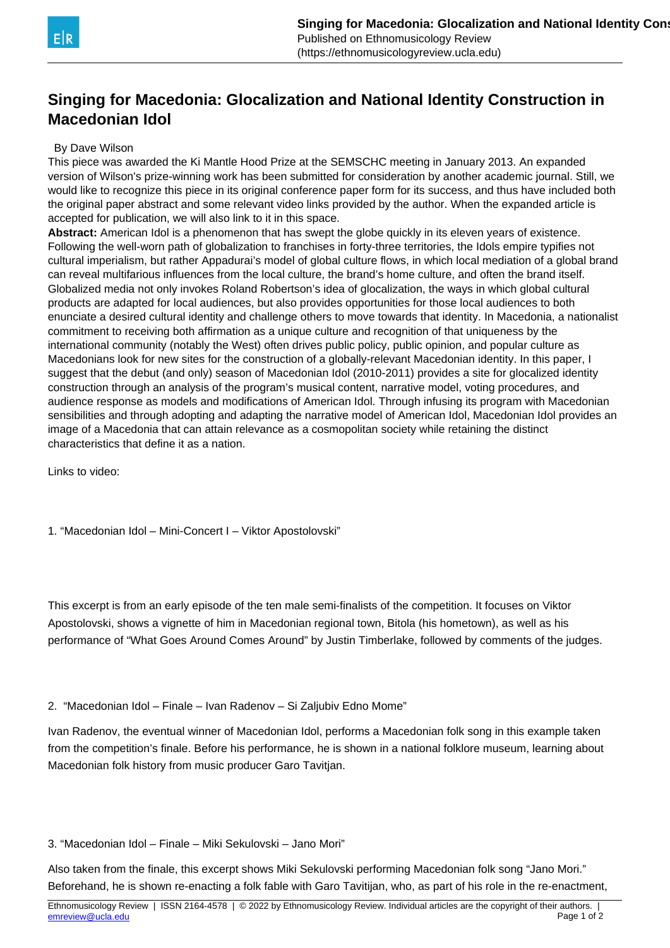

## **Singing for Macedonia: Glocalization and National Identity Construction in Macedonian Idol**

## By Dave Wilson

This piece was awarded the Ki Mantle Hood Prize at the SEMSCHC meeting in January 2013. An expanded version of Wilson's prize-winning work has been submitted for consideration by another academic journal. Still, we would like to recognize this piece in its original conference paper form for its success, and thus have included both the original paper abstract and some relevant video links provided by the author. When the expanded article is accepted for publication, we will also link to it in this space.

**Abstract:** American Idol is a phenomenon that has swept the globe quickly in its eleven years of existence. Following the well-worn path of globalization to franchises in forty-three territories, the Idols empire typifies not cultural imperialism, but rather Appadurai's model of global culture flows, in which local mediation of a global brand can reveal multifarious influences from the local culture, the brand's home culture, and often the brand itself. Globalized media not only invokes Roland Robertson's idea of glocalization, the ways in which global cultural products are adapted for local audiences, but also provides opportunities for those local audiences to both enunciate a desired cultural identity and challenge others to move towards that identity. In Macedonia, a nationalist commitment to receiving both affirmation as a unique culture and recognition of that uniqueness by the international community (notably the West) often drives public policy, public opinion, and popular culture as Macedonians look for new sites for the construction of a globally-relevant Macedonian identity. In this paper, I suggest that the debut (and only) season of Macedonian Idol (2010-2011) provides a site for glocalized identity construction through an analysis of the program's musical content, narrative model, voting procedures, and audience response as models and modifications of American Idol. Through infusing its program with Macedonian sensibilities and through adopting and adapting the narrative model of American Idol, Macedonian Idol provides an image of a Macedonia that can attain relevance as a cosmopolitan society while retaining the distinct characteristics that define it as a nation.

Links to video:

1. "Macedonian Idol – Mini-Concert I – Viktor Apostolovski"

This excerpt is from an early episode of the ten male semi-finalists of the competition. It focuses on Viktor Apostolovski, shows a vignette of him in Macedonian regional town, Bitola (his hometown), as well as his performance of "What Goes Around Comes Around" by Justin Timberlake, followed by comments of the judges.

2. "Macedonian Idol – Finale – Ivan Radenov – Si Zaljubiv Edno Mome"

Ivan Radenov, the eventual winner of Macedonian Idol, performs a Macedonian folk song in this example taken from the competition's finale. Before his performance, he is shown in a national folklore museum, learning about Macedonian folk history from music producer Garo Tavitjan.

3. "Macedonian Idol – Finale – Miki Sekulovski – Jano Mori"

Also taken from the finale, this excerpt shows Miki Sekulovski performing Macedonian folk song "Jano Mori." Beforehand, he is shown re-enacting a folk fable with Garo Tavitijan, who, as part of his role in the re-enactment,